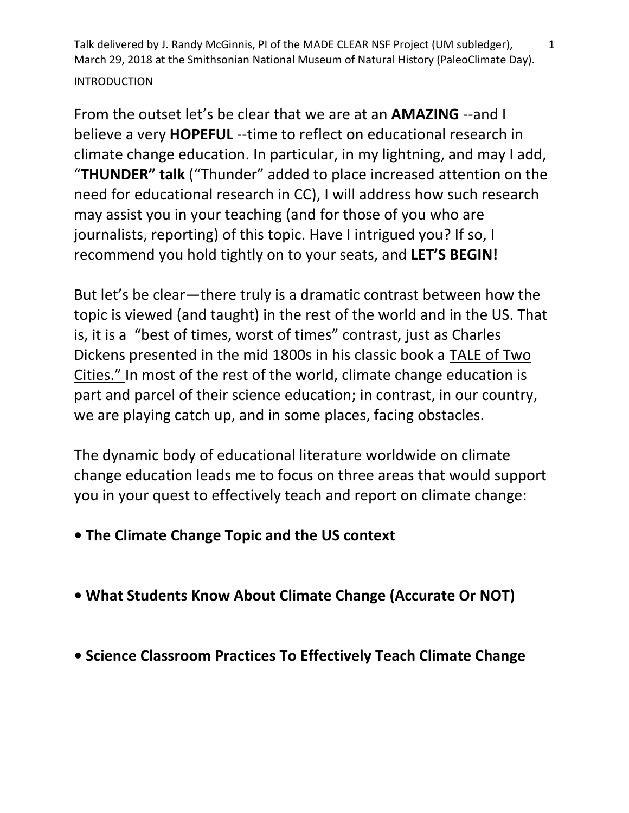From the outset let's be clear that we are at an **AMAZING** --and I believe a very **HOPEFUL** --time to reflect on educational research in climate change education. In particular, in my lightning, and may I add, "**THUNDER" talk** ("Thunder" added to place increased attention on the need for educational research in CC), I will address how such research may assist you in your teaching (and for those of you who are journalists, reporting) of this topic. Have I intrigued you? If so, I recommend you hold tightly on to your seats, and **LET'S BEGIN!**

But let's be clear—there truly is a dramatic contrast between how the topic is viewed (and taught) in the rest of the world and in the US. That is, it is a "best of times, worst of times" contrast, just as Charles Dickens presented in the mid 1800s in his classic book a TALE of Two Cities." In most of the rest of the world, climate change education is part and parcel of their science education; in contrast, in our country, we are playing catch up, and in some places, facing obstacles.

The dynamic body of educational literature worldwide on climate change education leads me to focus on three areas that would support you in your quest to effectively teach and report on climate change:

- **The Climate Change Topic and the US context**
- **What Students Know About Climate Change (Accurate Or NOT)**
- **Science Classroom Practices To Effectively Teach Climate Change**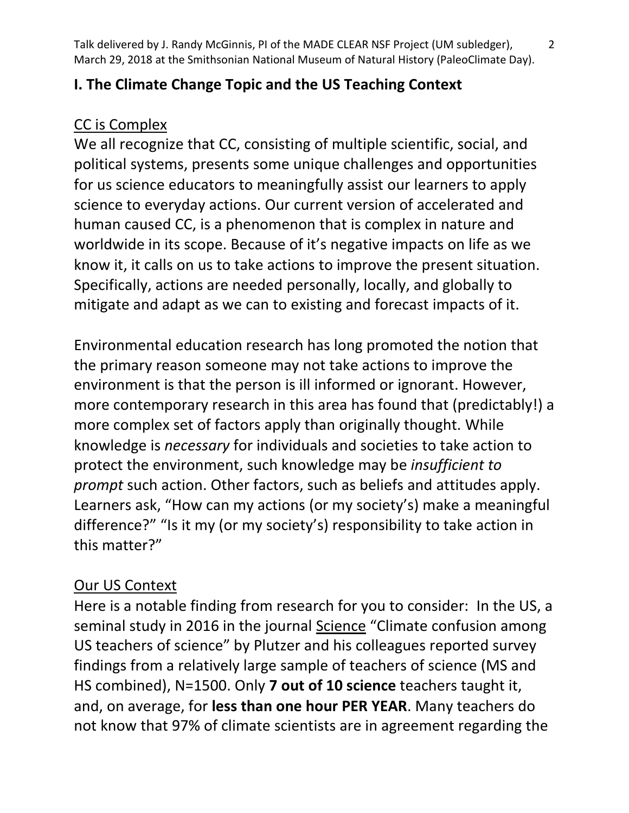### **I. The Climate Change Topic and the US Teaching Context**

#### CC is Complex

We all recognize that CC, consisting of multiple scientific, social, and political systems, presents some unique challenges and opportunities for us science educators to meaningfully assist our learners to apply science to everyday actions. Our current version of accelerated and human caused CC, is a phenomenon that is complex in nature and worldwide in its scope. Because of it's negative impacts on life as we know it, it calls on us to take actions to improve the present situation. Specifically, actions are needed personally, locally, and globally to mitigate and adapt as we can to existing and forecast impacts of it.

Environmental education research has long promoted the notion that the primary reason someone may not take actions to improve the environment is that the person is ill informed or ignorant. However, more contemporary research in this area has found that (predictably!) a more complex set of factors apply than originally thought. While knowledge is *necessary* for individuals and societies to take action to protect the environment, such knowledge may be *insufficient to prompt* such action. Other factors, such as beliefs and attitudes apply. Learners ask, "How can my actions (or my society's) make a meaningful difference?" "Is it my (or my society's) responsibility to take action in this matter?"

### Our US Context

Here is a notable finding from research for you to consider: In the US, a seminal study in 2016 in the journal Science "Climate confusion among US teachers of science" by Plutzer and his colleagues reported survey findings from a relatively large sample of teachers of science (MS and HS combined), N=1500. Only **7 out of 10 science** teachers taught it, and, on average, for **less than one hour PER YEAR**. Many teachers do not know that 97% of climate scientists are in agreement regarding the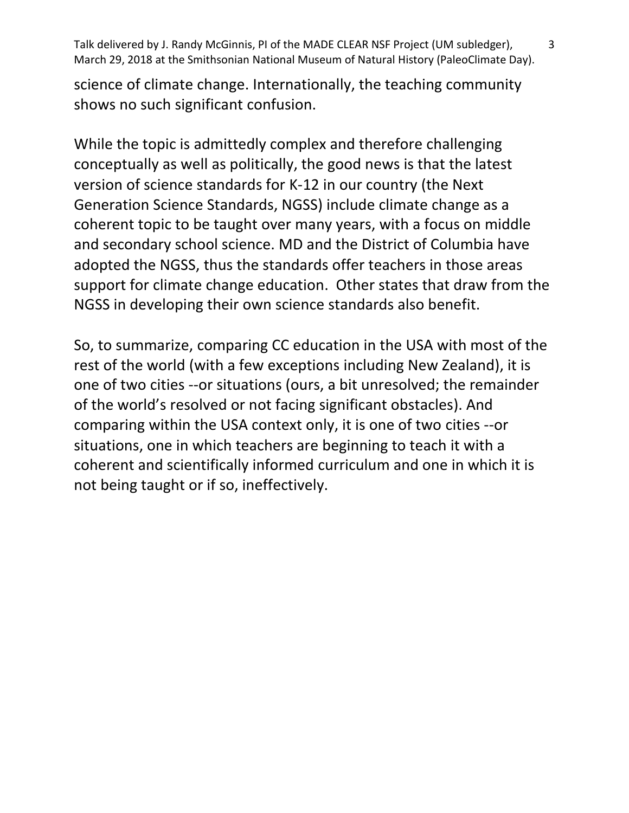science of climate change. Internationally, the teaching community shows no such significant confusion.

While the topic is admittedly complex and therefore challenging conceptually as well as politically, the good news is that the latest version of science standards for K-12 in our country (the Next Generation Science Standards, NGSS) include climate change as a coherent topic to be taught over many years, with a focus on middle and secondary school science. MD and the District of Columbia have adopted the NGSS, thus the standards offer teachers in those areas support for climate change education. Other states that draw from the NGSS in developing their own science standards also benefit.

So, to summarize, comparing CC education in the USA with most of the rest of the world (with a few exceptions including New Zealand), it is one of two cities --or situations (ours, a bit unresolved; the remainder of the world's resolved or not facing significant obstacles). And comparing within the USA context only, it is one of two cities --or situations, one in which teachers are beginning to teach it with a coherent and scientifically informed curriculum and one in which it is not being taught or if so, ineffectively.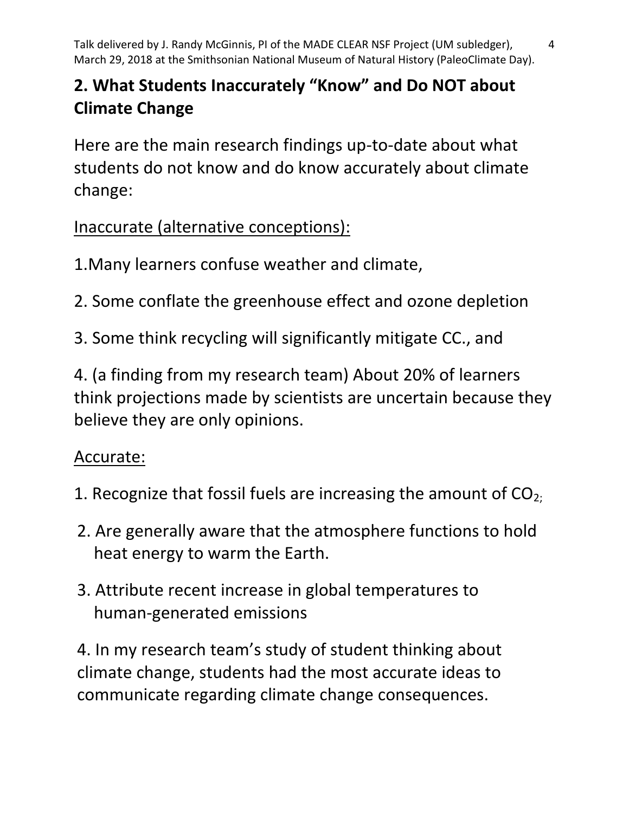# **2. What Students Inaccurately "Know" and Do NOT about Climate Change**

Here are the main research findings up-to-date about what students do not know and do know accurately about climate change:

Inaccurate (alternative conceptions):

1.Many learners confuse weather and climate,

2. Some conflate the greenhouse effect and ozone depletion

3. Some think recycling will significantly mitigate CC., and

4. (a finding from my research team) About 20% of learners think projections made by scientists are uncertain because they believe they are only opinions.

### Accurate:

- 1. Recognize that fossil fuels are increasing the amount of  $CO<sub>2</sub>$ ;
- 2. Are generally aware that the atmosphere functions to hold heat energy to warm the Earth.
- 3. Attribute recent increase in global temperatures to human-generated emissions

4. In my research team's study of student thinking about climate change, students had the most accurate ideas to communicate regarding climate change consequences.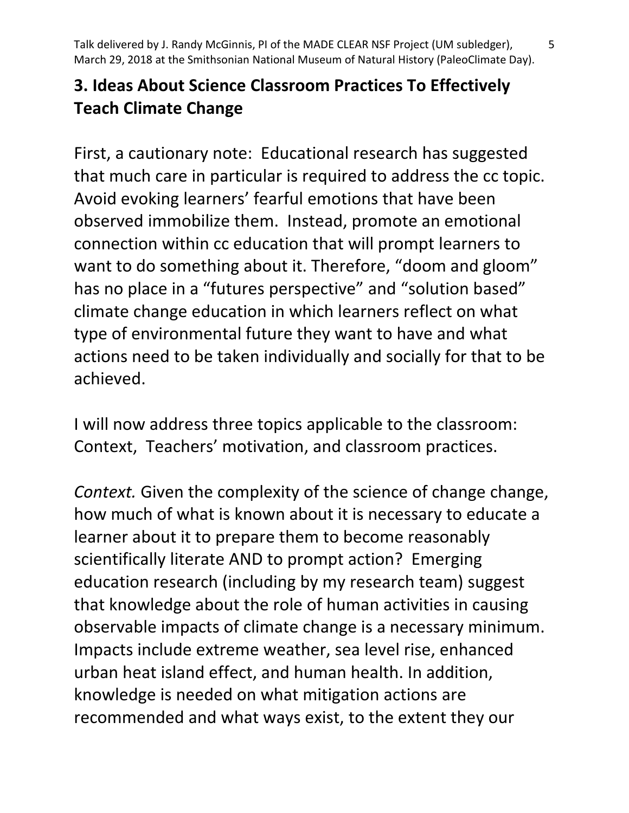## **3. Ideas About Science Classroom Practices To Effectively Teach Climate Change**

First, a cautionary note: Educational research has suggested that much care in particular is required to address the cc topic. Avoid evoking learners' fearful emotions that have been observed immobilize them. Instead, promote an emotional connection within cc education that will prompt learners to want to do something about it. Therefore, "doom and gloom" has no place in a "futures perspective" and "solution based" climate change education in which learners reflect on what type of environmental future they want to have and what actions need to be taken individually and socially for that to be achieved.

I will now address three topics applicable to the classroom: Context, Teachers' motivation, and classroom practices.

*Context.* Given the complexity of the science of change change, how much of what is known about it is necessary to educate a learner about it to prepare them to become reasonably scientifically literate AND to prompt action? Emerging education research (including by my research team) suggest that knowledge about the role of human activities in causing observable impacts of climate change is a necessary minimum. Impacts include extreme weather, sea level rise, enhanced urban heat island effect, and human health. In addition, knowledge is needed on what mitigation actions are recommended and what ways exist, to the extent they our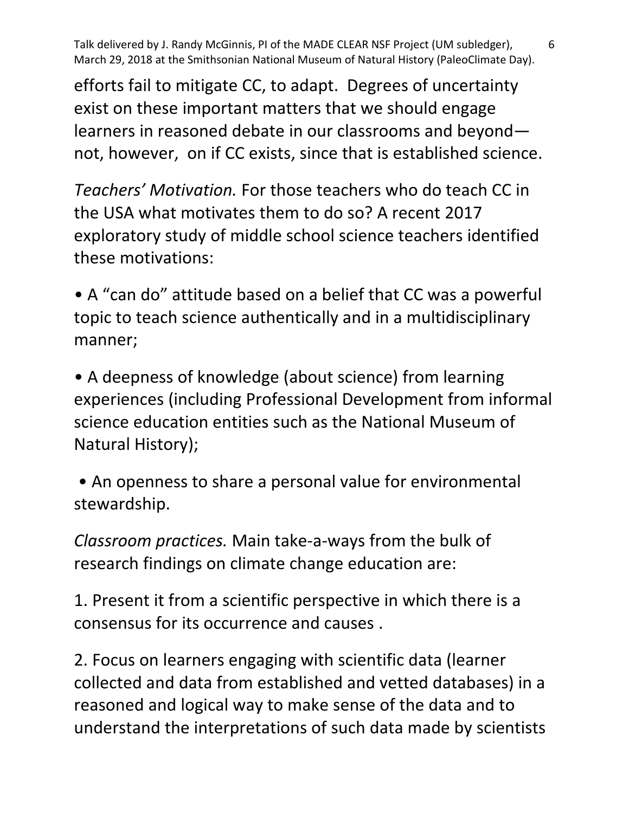efforts fail to mitigate CC, to adapt. Degrees of uncertainty exist on these important matters that we should engage learners in reasoned debate in our classrooms and beyond not, however, on if CC exists, since that is established science.

*Teachers' Motivation.* For those teachers who do teach CC in the USA what motivates them to do so? A recent 2017 exploratory study of middle school science teachers identified these motivations:

• A "can do" attitude based on a belief that CC was a powerful topic to teach science authentically and in a multidisciplinary manner;

• A deepness of knowledge (about science) from learning experiences (including Professional Development from informal science education entities such as the National Museum of Natural History);

• An openness to share a personal value for environmental stewardship.

*Classroom practices.* Main take-a-ways from the bulk of research findings on climate change education are:

1. Present it from a scientific perspective in which there is a consensus for its occurrence and causes .

2. Focus on learners engaging with scientific data (learner collected and data from established and vetted databases) in a reasoned and logical way to make sense of the data and to understand the interpretations of such data made by scientists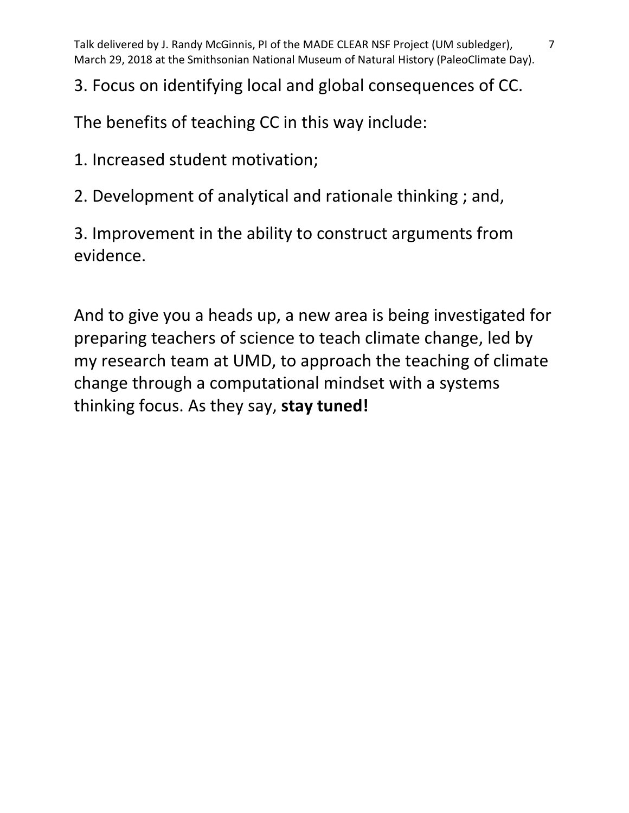## 3. Focus on identifying local and global consequences of CC.

The benefits of teaching CC in this way include:

1. Increased student motivation;

2. Development of analytical and rationale thinking ; and,

3. Improvement in the ability to construct arguments from evidence.

And to give you a heads up, a new area is being investigated for preparing teachers of science to teach climate change, led by my research team at UMD, to approach the teaching of climate change through a computational mindset with a systems thinking focus. As they say, **stay tuned!**